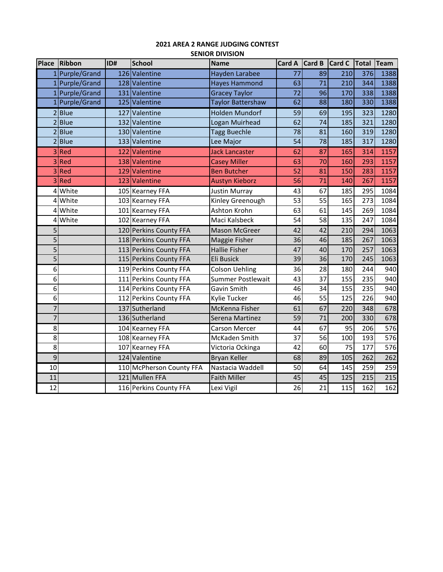## **2021 AREA 2 RANGE JUDGING CONTEST SENIOR DIVISION**

| <b>Place</b>    | <b>Ribbon</b>  | ID# | <b>School</b>            | <b>Name</b>              | <b>Card A</b>   | Card B | <b>Card C</b> | Total           | Team |
|-----------------|----------------|-----|--------------------------|--------------------------|-----------------|--------|---------------|-----------------|------|
|                 | 1 Purple/Grand |     | 126 Valentine            | Hayden Larabee           | 77              | 89     | 210           | 376             | 1388 |
|                 | Purple/Grand   |     | 128 Valentine            | <b>Hayes Hammond</b>     | 63              | 71     | 210           | 344             | 1388 |
|                 | Purple/Grand   |     | 131 Valentine            | <b>Gracey Taylor</b>     | 72              | 96     | 170           | 338             | 1388 |
|                 | Purple/Grand   |     | 125 Valentine            | <b>Taylor Battershaw</b> | $\overline{62}$ | 88     | 180           | 330             | 1388 |
| $\overline{2}$  | <b>Blue</b>    |     | 127 Valentine            | <b>Holden Mundorf</b>    | $\overline{59}$ | 69     | 195           | $\frac{1}{323}$ | 1280 |
| $\overline{2}$  | <b>Blue</b>    |     | 132 Valentine            | Logan Muirhead           | 62              | 74     | 185           | 321             | 1280 |
| $\overline{2}$  | <b>Blue</b>    |     | 130 Valentine            | <b>Tagg Buechle</b>      | 78              | 81     | 160           | 319             | 1280 |
| 2               | <b>Blue</b>    |     | 133 Valentine            | Lee Major                | 54              | 78     | 185           | 317             | 1280 |
| 3               | Red            |     | 122 Valentine            | <b>Jack Lancaster</b>    | 62              | 87     | 165           | 314             | 1157 |
| 3               | Red            |     | 138 Valentine            | <b>Casey Miller</b>      | 63              | 70     | 160           | 293             | 1157 |
| 3               | Red            |     | 129 Valentine            | <b>Ben Butcher</b>       | 52              | 81     | 150           | 283             | 1157 |
| 3               | Red            |     | 123 Valentine            | <b>Austyn Kieborz</b>    | 56              | 71     | 140           | 267             | 1157 |
| 4               | White          |     | 105 Kearney FFA          | <b>Justin Murray</b>     | 43              | 67     | 185           | 295             | 1084 |
| 4               | White          |     | 103 Kearney FFA          | Kinley Greenough         | 53              | 55     | 165           | 273             | 1084 |
| 4               | White          |     | 101 Kearney FFA          | Ashton Krohn             | 63              | 61     | 145           | 269             | 1084 |
| 4               | White          |     | 102 Kearney FFA          | Maci Kalsbeck            | $\overline{54}$ | 58     | 135           | 247             | 1084 |
| 5               |                |     | 120 Perkins County FFA   | <b>Mason McGreer</b>     | 42              | 42     | 210           | 294             | 1063 |
| 5               |                |     | 118 Perkins County FFA   | Maggie Fisher            | 36              | 46     | 185           | 267             | 1063 |
| 5               |                |     | 113 Perkins County FFA   | <b>Hallie Fisher</b>     | 47              | 40     | 170           | 257             | 1063 |
| 5               |                |     | 115 Perkins County FFA   | Eli Busick               | 39              | 36     | 170           | 245             | 1063 |
| 6               |                |     | 119 Perkins County FFA   | <b>Colson Uehling</b>    | 36              | 28     | 180           | 244             | 940  |
| 6               |                |     | 111 Perkins County FFA   | Summer Postlewait        | 43              | 37     | 155           | 235             | 940  |
| 6               |                |     | 114 Perkins County FFA   | Gavin Smith              | 46              | 34     | 155           | 235             | 940  |
| 6               |                |     | 112 Perkins County FFA   | Kylie Tucker             | 46              | 55     | 125           | 226             | 940  |
| 7               |                |     | 137 Sutherland           | McKenna Fisher           | 61              | 67     | 220           | 348             | 678  |
| 7               |                |     | 136 Sutherland           | Serena Martinez          | 59              | 71     | 200           | 330             | 678  |
| 8               |                |     | 104 Kearney FFA          | <b>Carson Mercer</b>     | 44              | 67     | 95            | 206             | 576  |
| 8               |                |     | 108 Kearney FFA          | McKaden Smith            | 37              | 56     | 100           | 193             | 576  |
| 8               |                |     | 107 Kearney FFA          | Victoria Ockinga         | 42              | 60     | 75            | 177             | 576  |
| $\overline{9}$  |                |     | 124 Valentine            | <b>Bryan Keller</b>      | $\overline{68}$ | 89     | 105           | 262             | 262  |
| 10              |                |     | 110 McPherson County FFA | Nastacia Waddell         | 50              | 64     | 145           | 259             | 259  |
| 11              |                |     | 121 Mullen FFA           | <b>Faith Miller</b>      | 45              | 45     | 125           | 215             | 215  |
| $\overline{12}$ |                |     | 116 Perkins County FFA   | Lexi Vigil               | $\overline{26}$ | 21     | 115           | 162             | 162  |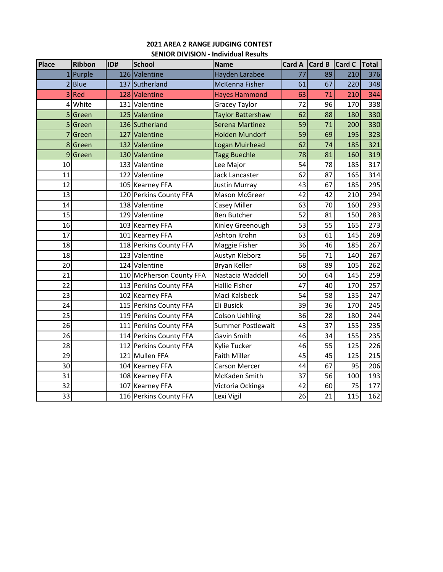# **2021 AREA 2 RANGE JUDGING CONTEST SENIOR DIVISION ‐ Individual Results**

| Place<br><b>Ribbon</b><br>ID# |                          | <b>School</b> | <b>Name</b>              | Card A                   | Card B | Card C | Total |     |
|-------------------------------|--------------------------|---------------|--------------------------|--------------------------|--------|--------|-------|-----|
|                               | $1$ Purple               |               | 126 Valentine            | Hayden Larabee           | 77     | 89     | 210   | 376 |
|                               | 2 Blue<br>137 Sutherland |               | McKenna Fisher           | 61                       | 67     | 220    | 348   |     |
|                               | 3 Red                    |               | 128 Valentine            | <b>Hayes Hammond</b>     | 63     | 71     | 210   | 344 |
| 4                             | White                    |               | 131 Valentine            | <b>Gracey Taylor</b>     | 72     | 96     | 170   | 338 |
| 5                             | Green                    |               | 125 Valentine            | <b>Taylor Battershaw</b> | 62     | 88     | 180   | 330 |
| 5                             | Green                    |               | 136 Sutherland           | <b>Serena Martinez</b>   | 59     | 71     | 200   | 330 |
| 7                             | Green                    | 127           | Valentine                | <b>Holden Mundorf</b>    | 59     | 69     | 195   | 323 |
| 8                             | Green                    |               | 132 Valentine            | Logan Muirhead           | 62     | 74     | 185   | 321 |
| 9                             | Green                    |               | 130 Valentine            | <b>Tagg Buechle</b>      | 78     | 81     | 160   | 319 |
| 10                            |                          |               | 133 Valentine            | Lee Major                | 54     | 78     | 185   | 317 |
| 11                            |                          |               | 122 Valentine            | Jack Lancaster           | 62     | 87     | 165   | 314 |
| 12                            |                          |               | 105 Kearney FFA          | <b>Justin Murray</b>     | 43     | 67     | 185   | 295 |
| 13                            |                          |               | 120 Perkins County FFA   | Mason McGreer            | 42     | 42     | 210   | 294 |
| 14                            |                          |               | 138 Valentine            | Casey Miller             | 63     | 70     | 160   | 293 |
| 15                            |                          |               | 129 Valentine            | <b>Ben Butcher</b>       | 52     | 81     | 150   | 283 |
| 16                            |                          |               | 103 Kearney FFA          | Kinley Greenough         | 53     | 55     | 165   | 273 |
| 17                            |                          |               | 101 Kearney FFA          | Ashton Krohn             | 63     | 61     | 145   | 269 |
| 18                            |                          |               | 118 Perkins County FFA   | Maggie Fisher            | 36     | 46     | 185   | 267 |
| 18                            |                          |               | 123 Valentine            | Austyn Kieborz           | 56     | 71     | 140   | 267 |
| 20                            |                          |               | 124 Valentine            | Bryan Keller             | 68     | 89     | 105   | 262 |
| 21                            |                          |               | 110 McPherson County FFA | Nastacia Waddell         | 50     | 64     | 145   | 259 |
| 22                            |                          |               | 113 Perkins County FFA   | <b>Hallie Fisher</b>     | 47     | 40     | 170   | 257 |
| 23                            |                          |               | 102 Kearney FFA          | Maci Kalsbeck            | 54     | 58     | 135   | 247 |
| 24                            |                          |               | 115 Perkins County FFA   | Eli Busick               | 39     | 36     | 170   | 245 |
| 25                            |                          |               | 119 Perkins County FFA   | <b>Colson Uehling</b>    | 36     | 28     | 180   | 244 |
| 26                            |                          |               | 111 Perkins County FFA   | <b>Summer Postlewait</b> | 43     | 37     | 155   | 235 |
| 26                            |                          |               | 114 Perkins County FFA   | Gavin Smith              | 46     | 34     | 155   | 235 |
| 28                            |                          |               | 112 Perkins County FFA   | Kylie Tucker             | 46     | 55     | 125   | 226 |
| 29                            |                          |               | 121 Mullen FFA           | <b>Faith Miller</b>      | 45     | 45     | 125   | 215 |
| 30                            |                          |               | 104 Kearney FFA          | Carson Mercer            | 44     | 67     | 95    | 206 |
| 31                            |                          |               | 108 Kearney FFA          | McKaden Smith            | 37     | 56     | 100   | 193 |
| 32                            |                          |               | 107 Kearney FFA          | Victoria Ockinga         | 42     | 60     | 75    | 177 |
| 33                            |                          |               | 116 Perkins County FFA   | Lexi Vigil               | 26     | 21     | 115   | 162 |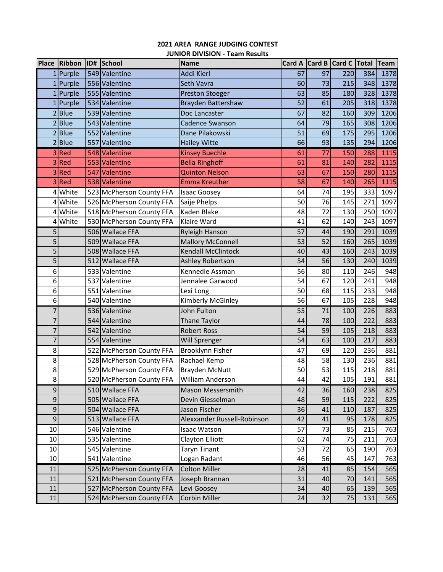# **2021 AREA RANGE JUDGING CONTEST JUNIOR DIVISION ‐ Team Results**

|                | Place Ribbon ID# School |                          | <b>Name</b>                 | <b>Card A</b> |    | Card B Card C Total Team |     |      |
|----------------|-------------------------|--------------------------|-----------------------------|---------------|----|--------------------------|-----|------|
|                | $1$ Purple              | 549 Valentine            | Addi Kierl                  | 67            | 97 | 220                      | 384 | 1378 |
|                | 1 Purple                | 556 Valentine            | Seth Vavra                  | 60            | 73 | 215                      | 348 | 1378 |
|                | $1$ Purple              | 555 Valentine            | <b>Preston Stoeger</b>      | 63            | 85 | 180                      | 328 | 1378 |
| 1              | Purple                  | 534 Valentine            | Brayden Battershaw          | 52            | 61 | 205                      | 318 | 1378 |
|                | 2 Blue                  | 539 Valentine            | Doc Lancaster               | 67            | 82 | 160                      | 309 | 1206 |
| 2              | <b>Blue</b>             | 543 Valentine            | <b>Cadence Swanson</b>      | 64            | 79 | 165                      | 308 | 1206 |
| $\overline{2}$ | <b>Blue</b>             | 552 Valentine            | Dane Pilakowski             | 51            | 69 | 175                      | 295 | 1206 |
| 2              | <b>Blue</b>             | 557 Valentine            | <b>Hailey Witte</b>         | 66            | 93 | 135                      | 294 | 1206 |
|                | 3Red                    | 548 Valentine            | <b>Kinsey Buechle</b>       | 61            | 77 | 150                      | 288 | 1115 |
| 3              | Red                     | 553 Valentine            | <b>Bella Ringhoff</b>       | 61            | 81 | 140                      | 282 | 1115 |
| 3              | Red                     | 547 Valentine            | <b>Quinton Nelson</b>       | 63            | 67 | 150                      | 280 | 1115 |
| 3              | Red                     | 538 Valentine            | <b>Emma Kreuther</b>        | 58            | 67 | 140                      | 265 | 1115 |
| 4              | White                   | 523 McPherson County FFA | <b>Isaac Goosey</b>         | 64            | 74 | 195                      | 333 | 1097 |
| 4              | White                   | 526 McPherson County FFA | Saije Phelps                | 50            | 76 | 145                      | 271 | 1097 |
|                | 4 White                 | 518 McPherson County FFA | Kaden Blake                 | 48            | 72 | 130                      | 250 | 1097 |
|                | 4 White                 | 530 McPherson County FFA | Klaire Ward                 | 41            | 62 | 140                      | 243 | 1097 |
| 5              |                         | 506 Wallace FFA          | Ryleigh Hanson              | 57            | 44 | 190                      | 291 | 1039 |
| 5              |                         | 509 Wallace FFA          | <b>Mallory McConnell</b>    | 53            | 52 | 160                      | 265 | 1039 |
| 5              |                         | 508 Wallace FFA          | <b>Kendall McClintock</b>   | 40            | 43 | 160                      | 243 | 1039 |
| 5              |                         | 512 Wallace FFA          | Ashley Robertson            | 54            | 56 | 130                      | 240 | 1039 |
| 6              |                         | 533 Valentine            | Kennedie Assman             | 56            | 80 | 110                      | 246 | 948  |
| 6              |                         | 537 Valentine            | Jennalee Garwood            | 54            | 67 | 120                      | 241 | 948  |
| 6              |                         | 551 Valentine            | Lexi Long                   | 50            | 68 | 115                      | 233 | 948  |
| 6              |                         | 540 Valentine            | Kimberly McGinley           | 56            | 67 | 105                      | 228 | 948  |
| 7              |                         | 536 Valentine            | John Fulton                 | 55            | 71 | 100                      | 226 | 883  |
| 7              |                         | 544 Valentine            | Thane Taylor                | 44            | 78 | 100                      | 222 | 883  |
| 7              |                         | 542 Valentine            | <b>Robert Ross</b>          | 54            | 59 | 105                      | 218 | 883  |
| 7              |                         | 554 Valentine            | Will Sprenger               | 54            | 63 | 100                      | 217 | 883  |
| 8              |                         | 522 McPherson County FFA | <b>Brooklynn Fisher</b>     | 47            | 69 | 120                      | 236 | 881  |
| 8              |                         | 528 McPherson County FFA | Rachael Kemp                | 48            | 58 | 130                      | 236 | 881  |
| 8              |                         | 529 McPherson County FFA | <b>Brayden McNutt</b>       | 50            | 53 | 115                      | 218 | 881  |
| 8              |                         | 520 McPherson County FFA | William Anderson            | 44            | 42 | 105                      | 191 | 881  |
| $\mathsf 9$    |                         | 510 Wallace FFA          | Mason Messersmith           | 42            | 36 | 160                      | 238 | 825  |
| $\mathsf 9$    |                         | 505 Wallace FFA          | Devin Giesselman            | 48            | 59 | 115                      | 222 | 825  |
| $\mathsf 9$    |                         | 504 Wallace FFA          | Jason Fischer               | 36            | 41 | 110                      | 187 | 825  |
| 9              |                         | 513 Wallace FFA          | Alexxander Russell-Robinson | 42            | 41 | 95                       | 178 | 825  |
| 10             |                         | 546 Valentine            | <b>Isaac Watson</b>         | 57            | 73 | 85                       | 215 | 763  |
| 10             |                         | 535 Valentine            | Clayton Elliott             | 62            | 74 | 75                       | 211 | 763  |
| 10             |                         | 545 Valentine            | <b>Taryn Tinant</b>         | 53            | 72 | 65                       | 190 | 763  |
| 10             |                         | 541 Valentine            | Logan Radant                | 46            | 56 | 45                       | 147 | 763  |
| 11             |                         | 525 McPherson County FFA | <b>Colton Miller</b>        | 28            | 41 | 85                       | 154 | 565  |
| 11             |                         | 521 McPherson County FFA | Joseph Brannan              | 31            | 40 | 70                       | 141 | 565  |
| 11             |                         | 527 McPherson County FFA | Levi Goosey                 | 34            | 40 | 65                       | 139 | 565  |
| 11             |                         | 524 McPherson County FFA | Corbin Miller               | 24            | 32 | 75                       | 131 | 565  |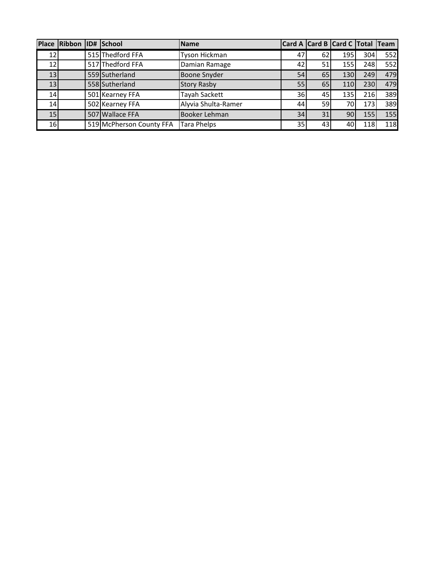|                 | Place Ribbon ID# School |                          | <b>Name</b>         | Card A Card B Card C Total Team |                 |     |     |            |
|-----------------|-------------------------|--------------------------|---------------------|---------------------------------|-----------------|-----|-----|------------|
| 12I             |                         | 515 Thedford FFA         | Tyson Hickman       | 47                              | 62              | 195 | 304 | 552        |
| 12I             |                         | 517 Thedford FFA         | Damian Ramage       | 42                              | 51              | 155 | 248 | 552        |
| 13              |                         | 559 Sutherland           | <b>Boone Snyder</b> | 54                              | 65              | 130 | 249 | 479        |
| 13              |                         | 558 Sutherland           | <b>Story Rasby</b>  | 55                              | 65I             | 110 | 230 | 479        |
| 14              |                         | 501 Kearney FFA          | Tayah Sackett       | 36                              | 45              | 135 | 216 | 389        |
| 14              |                         | 502 Kearney FFA          | Alyvia Shulta-Ramer | 44                              | 59              | 70  | 173 | 389        |
| 15 <sub>l</sub> |                         | 507 Wallace FFA          | Booker Lehman       | 34                              | 31              | 90  | 155 | 155        |
| 16I             |                         | 519 McPherson County FFA | <b>Tara Phelps</b>  | 35                              | 43 <sub>l</sub> | 40  | 118 | <b>118</b> |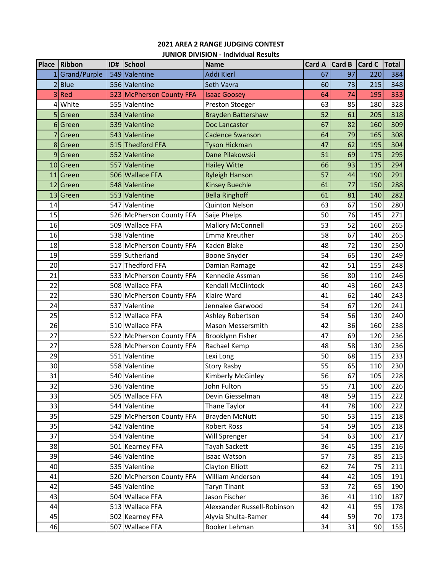# **2021 AREA 2 RANGE JUDGING CONTEST JUNIOR DIVISION ‐ Individual Results**

| Place | Ribbon       | ID# | School                   | <b>Name</b>                 | Card A | Card B | Card C | <b>Total</b> |
|-------|--------------|-----|--------------------------|-----------------------------|--------|--------|--------|--------------|
|       | Grand/Purple |     | 549 Valentine            | <b>Addi Kierl</b>           | 67     | 97     | 220    | 384          |
|       | 2 Blue       |     | 556 Valentine            | Seth Vavra                  | 60     | 73     | 215    | 348          |
|       | 3 Red        |     | 523 McPherson County FFA | <b>Isaac Goosey</b>         | 64     | 74     | 195    | 333          |
| 4     | White        |     | 555 Valentine            | Preston Stoeger             | 63     | 85     | 180    | 328          |
| 5     | Green        |     | 534 Valentine            | <b>Brayden Battershaw</b>   | 52     | 61     | 205    | 318          |
| 6     | Green        |     | 539 Valentine            | Doc Lancaster               | 67     | 82     | 160    | 309          |
|       | Green        |     | 543 Valentine            | <b>Cadence Swanson</b>      | 64     | 79     | 165    | 308          |
| 8     | Green        |     | 515 Thedford FFA         | <b>Tyson Hickman</b>        | 47     | 62     | 195    | 304          |
| 9     | Green        |     | 552 Valentine            | Dane Pilakowski             | 51     | 69     | 175    | 295          |
| 10    | Green        |     | 557 Valentine            | <b>Hailey Witte</b>         | 66     | 93     | 135    | 294          |
| 11    | Green        |     | 506 Wallace FFA          | <b>Ryleigh Hanson</b>       | 57     | 44     | 190    | 291          |
| 12    | Green        |     | 548 Valentine            | <b>Kinsey Buechle</b>       | 61     | 77     | 150    | 288          |
| 13    | Green        |     | 553 Valentine            | <b>Bella Ringhoff</b>       | 61     | 81     | 140    | 282          |
| 14    |              |     | 547 Valentine            | <b>Quinton Nelson</b>       | 63     | 67     | 150    | 280          |
| 15    |              |     | 526 McPherson County FFA | Saije Phelps                | 50     | 76     | 145    | 271          |
| 16    |              |     | 509 Wallace FFA          | <b>Mallory McConnell</b>    | 53     | 52     | 160    | 265          |
| 16    |              |     | 538 Valentine            | Emma Kreuther               | 58     | 67     | 140    | 265          |
| 18    |              |     | 518 McPherson County FFA | Kaden Blake                 | 48     | 72     | 130    | 250          |
| 19    |              |     | 559 Sutherland           | Boone Snyder                | 54     | 65     | 130    | 249          |
| 20    |              |     | 517 Thedford FFA         | Damian Ramage               | 42     | 51     | 155    | 248          |
| 21    |              |     | 533 McPherson County FFA | Kennedie Assman             | 56     | 80     | 110    | 246          |
| 22    |              |     | 508 Wallace FFA          | <b>Kendall McClintock</b>   | 40     | 43     | 160    | 243          |
| 22    |              |     | 530 McPherson County FFA | Klaire Ward                 | 41     | 62     | 140    | 243          |
| 24    |              |     | 537 Valentine            | Jennalee Garwood            | 54     | 67     | 120    | 241          |
| 25    |              |     | 512 Wallace FFA          | Ashley Robertson            | 54     | 56     | 130    | 240          |
| 26    |              |     | 510 Wallace FFA          | Mason Messersmith           | 42     | 36     | 160    | 238          |
| 27    |              |     | 522 McPherson County FFA | Brooklynn Fisher            | 47     | 69     | 120    | 236          |
| 27    |              |     | 528 McPherson County FFA | Rachael Kemp                | 48     | 58     | 130    | 236          |
| 29    |              |     | 551 Valentine            | Lexi Long                   | 50     | 68     | 115    | 233          |
| 30    |              |     | 558 Valentine            | <b>Story Rasby</b>          | 55     | 65     | 110    | 230          |
| 31    |              |     | 540 Valentine            | Kimberly McGinley           | 56     | 67     | 105    | 228          |
| 32    |              |     | 536 Valentine            | John Fulton                 | 55     | 71     | 100    | 226          |
| 33    |              |     | 505 Wallace FFA          | Devin Giesselman            | 48     | 59     | 115    | 222          |
| 33    |              |     | 544 Valentine            | Thane Taylor                | 44     | 78     | 100    | 222          |
| 35    |              |     | 529 McPherson County FFA | <b>Brayden McNutt</b>       | 50     | 53     | 115    | 218          |
| 35    |              |     | 542 Valentine            | Robert Ross                 | 54     | 59     | 105    | 218          |
| 37    |              |     | 554 Valentine            | Will Sprenger               | 54     | 63     | 100    | 217          |
| 38    |              |     | 501 Kearney FFA          | Tayah Sackett               | 36     | 45     | 135    | 216          |
| 39    |              |     | 546 Valentine            | Isaac Watson                | 57     | 73     | 85     | 215          |
| 40    |              |     | 535 Valentine            | <b>Clayton Elliott</b>      | 62     | 74     | 75     | 211          |
| 41    |              |     | 520 McPherson County FFA | <b>William Anderson</b>     | 44     | 42     | 105    | 191          |
| 42    |              |     | 545 Valentine            | <b>Taryn Tinant</b>         | 53     | 72     | 65     | 190          |
| 43    |              |     | 504 Wallace FFA          | Jason Fischer               | 36     | 41     | 110    | 187          |
| 44    |              |     | 513 Wallace FFA          | Alexxander Russell-Robinson | 42     | 41     | 95     | 178          |
| 45    |              |     | 502 Kearney FFA          | Alyvia Shulta-Ramer         | 44     | 59     | 70     | 173          |
| 46    |              |     | 507 Wallace FFA          | Booker Lehman               | 34     | 31     | 90     | 155          |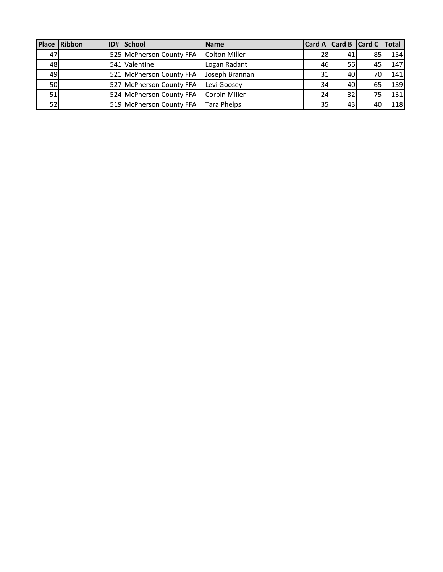|                 | Place Ribbon | <b>ID# School</b>        | <b>Name</b>        |    |           | Card A Card B Card C Total |     |
|-----------------|--------------|--------------------------|--------------------|----|-----------|----------------------------|-----|
| 47              |              | 525 McPherson County FFA | Colton Miller      | 28 | 41        | 85                         | 154 |
| 48              |              | 541 Valentine            | Logan Radant       | 46 | <b>56</b> | 45                         | 147 |
| 49              |              | 521 McPherson County FFA | Joseph Brannan     | 31 | 40        | 70I                        | 141 |
| <b>50</b>       |              | 527 McPherson County FFA | Levi Goosey        | 34 | 40        | 65                         | 139 |
| 51              |              | 524 McPherson County FFA | Corbin Miller      | 24 | 32        | 75 I                       | 131 |
| 52 <sub>1</sub> |              | 519 McPherson County FFA | <b>Tara Phelps</b> | 35 | 43        | 40                         | 118 |